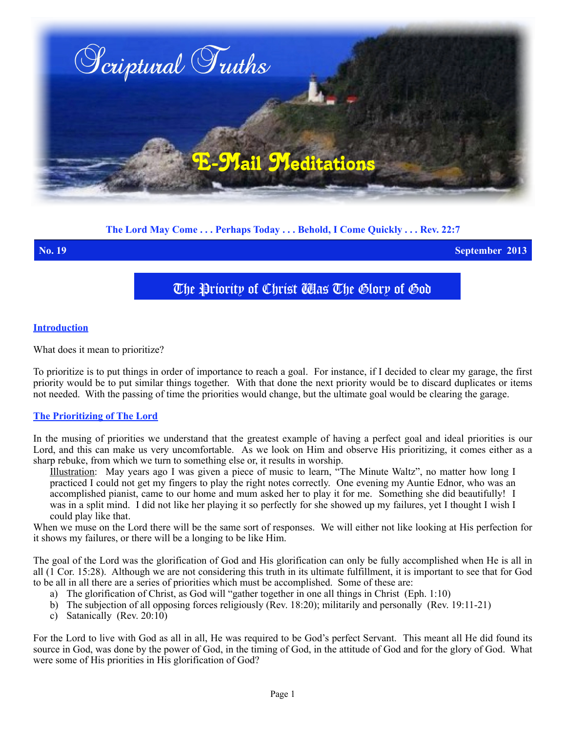

## **The Lord May Come . . . Perhaps Today . . . Behold, I Come Quickly . . . Rev. 22:7**

**No. 19 September 2013**

# The Priority of Christ Was The Glory of God

#### **Introduction**

What does it mean to prioritize?

To prioritize is to put things in order of importance to reach a goal. For instance, if I decided to clear my garage, the first priority would be to put similar things together. With that done the next priority would be to discard duplicates or items not needed. With the passing of time the priorities would change, but the ultimate goal would be clearing the garage.

# **The Prioritizing of The Lord**

In the musing of priorities we understand that the greatest example of having a perfect goal and ideal priorities is our Lord, and this can make us very uncomfortable. As we look on Him and observe His prioritizing, it comes either as a sharp rebuke, from which we turn to something else or, it results in worship.

Illustration: May years ago I was given a piece of music to learn, "The Minute Waltz", no matter how long I practiced I could not get my fingers to play the right notes correctly. One evening my Auntie Ednor, who was an accomplished pianist, came to our home and mum asked her to play it for me. Something she did beautifully! I was in a split mind. I did not like her playing it so perfectly for she showed up my failures, yet I thought I wish I could play like that.

When we muse on the Lord there will be the same sort of responses. We will either not like looking at His perfection for it shows my failures, or there will be a longing to be like Him.

The goal of the Lord was the glorification of God and His glorification can only be fully accomplished when He is all in all (1 Cor. 15:28). Although we are not considering this truth in its ultimate fulfillment, it is important to see that for God to be all in all there are a series of priorities which must be accomplished. Some of these are:

- a) The glorification of Christ, as God will "gather together in one all things in Christ (Eph. 1:10)
- b) The subjection of all opposing forces religiously (Rev. 18:20); militarily and personally (Rev. 19:11-21)
- c) Satanically (Rev. 20:10)

For the Lord to live with God as all in all, He was required to be God's perfect Servant. This meant all He did found its source in God, was done by the power of God, in the timing of God, in the attitude of God and for the glory of God. What were some of His priorities in His glorification of God?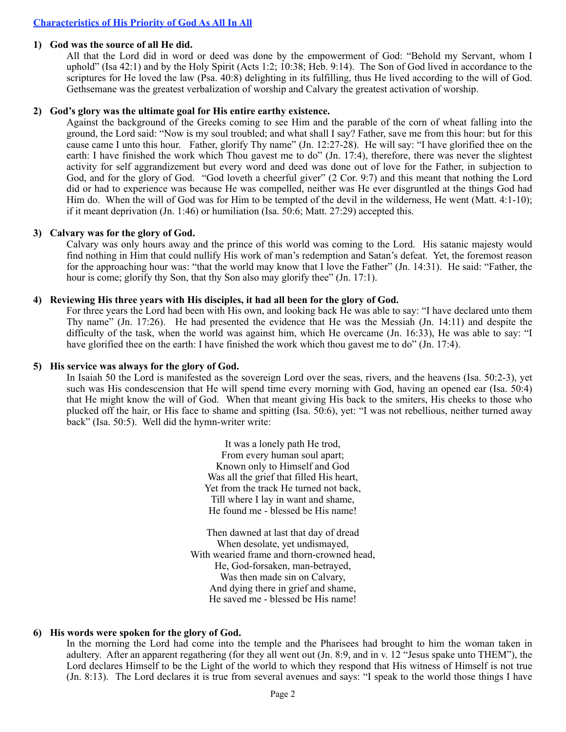#### **1) God was the source of all He did.**

All that the Lord did in word or deed was done by the empowerment of God: "Behold my Servant, whom I uphold" (Isa 42:1) and by the Holy Spirit (Acts 1:2; 10:38; Heb. 9:14). The Son of God lived in accordance to the scriptures for He loved the law (Psa. 40:8) delighting in its fulfilling, thus He lived according to the will of God. Gethsemane was the greatest verbalization of worship and Calvary the greatest activation of worship.

### **2) God's glory was the ultimate goal for His entire earthy existence.**

Against the background of the Greeks coming to see Him and the parable of the corn of wheat falling into the ground, the Lord said: "Now is my soul troubled; and what shall I say? Father, save me from this hour: but for this cause came I unto this hour. Father, glorify Thy name" (Jn. 12:27-28). He will say: "I have glorified thee on the earth: I have finished the work which Thou gavest me to do" (Jn. 17:4), therefore, there was never the slightest activity for self aggrandizement but every word and deed was done out of love for the Father, in subjection to God, and for the glory of God. "God loveth a cheerful giver" (2 Cor. 9:7) and this meant that nothing the Lord did or had to experience was because He was compelled, neither was He ever disgruntled at the things God had Him do. When the will of God was for Him to be tempted of the devil in the wilderness, He went (Matt. 4:1-10); if it meant deprivation (Jn. 1:46) or humiliation (Isa.  $50:6$ ; Matt. 27:29) accepted this.

#### **3) Calvary was for the glory of God.**

Calvary was only hours away and the prince of this world was coming to the Lord. His satanic majesty would find nothing in Him that could nullify His work of man's redemption and Satan's defeat. Yet, the foremost reason for the approaching hour was: "that the world may know that I love the Father" (Jn. 14:31). He said: "Father, the hour is come; glorify thy Son, that thy Son also may glorify thee" (Jn. 17:1).

#### **4) Reviewing His three years with His disciples, it had all been for the glory of God.**

For three years the Lord had been with His own, and looking back He was able to say: "I have declared unto them Thy name" (Jn. 17:26). He had presented the evidence that He was the Messiah (Jn. 14:11) and despite the difficulty of the task, when the world was against him, which He overcame (Jn. 16:33). He was able to say: "I have glorified thee on the earth: I have finished the work which thou gavest me to do" (Jn. 17:4).

#### **5) His service was always for the glory of God.**

In Isaiah 50 the Lord is manifested as the sovereign Lord over the seas, rivers, and the heavens (Isa. 50:2-3), yet such was His condescension that He will spend time every morning with God, having an opened ear (Isa. 50:4) that He might know the will of God. When that meant giving His back to the smiters, His cheeks to those who plucked off the hair, or His face to shame and spitting (Isa. 50:6), yet: "I was not rebellious, neither turned away back" (Isa. 50:5). Well did the hymn-writer write:

> It was a lonely path He trod, From every human soul apart; Known only to Himself and God Was all the grief that filled His heart, Yet from the track He turned not back, Till where I lay in want and shame, He found me - blessed be His name!

Then dawned at last that day of dread When desolate, yet undismayed, With wearied frame and thorn-crowned head, He, God-forsaken, man-betrayed, Was then made sin on Calvary, And dying there in grief and shame, He saved me - blessed be His name!

# **6) His words were spoken for the glory of God.**

In the morning the Lord had come into the temple and the Pharisees had brought to him the woman taken in adultery. After an apparent regathering (for they all went out (Jn. 8:9, and in v. 12 "Jesus spake unto THEM"), the Lord declares Himself to be the Light of the world to which they respond that His witness of Himself is not true (Jn. 8:13). The Lord declares it is true from several avenues and says: "I speak to the world those things I have